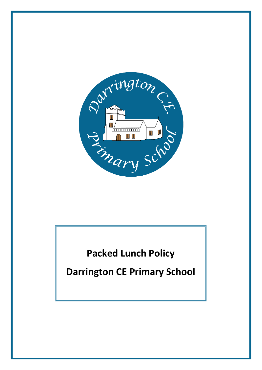

**Packed Lunch Policy**

**Darrington CE Primary School**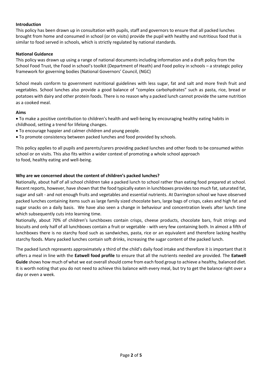## **Introduction**

This policy has been drawn up in consultation with pupils, staff and governors to ensure that all packed lunches brought from home and consumed in school (or on visits) provide the pupil with healthy and nutritious food that is similar to food served in schools, which is strictly regulated by national standards.

## **National Guidance**

This policy was drawn up using a range of national documents including information and a draft policy from the School Food Trust, the Food in school's toolkit (Department of Heath) and Food policy in schools – a strategic policy framework for governing bodies (National Governors' Council, (NGC)

School meals conform to government nutritional guidelines with less sugar, fat and salt and more fresh fruit and vegetables. School lunches also provide a good balance of "complex carbohydrates" such as pasta, rice, bread or potatoes with dairy and other protein foods. There is no reason why a packed lunch cannot provide the same nutrition as a cooked meal.

## **Aims**

• To make a positive contribution to children's health and well-being by encouraging healthy eating habits in childhood, setting a trend for lifelong changes.

- To encourage happier and calmer children and young people.
- To promote consistency between packed lunches and food provided by schools.

This policy applies to all pupils and parents/carers providing packed lunches and other foods to be consumed within school or on visits. This also fits within a wider context of promoting a whole school approach to food, healthy eating and well-being.

## **Why are we concerned about the content of children's packed lunches?**

Nationally, about half of all school children take a packed lunch to school rather than eating food prepared at school. Recent reports, however, have shown that the food typically eaten in lunchboxes provides too much fat, saturated fat, sugar and salt - and not enough fruits and vegetables and essential nutrients. At Darrington school we have observed packed lunches containing items such as large family sized chocolate bars, large bags of crisps, cakes and high fat and sugar snacks on a daily basis. We have also seen a change in behaviour and concentration levels after lunch time which subsequently cuts into learning time.

Nationally, about 70% of children's lunchboxes contain crisps, cheese products, chocolate bars, fruit strings and biscuits and only half of all lunchboxes contain a fruit or vegetable - with very few containing both. In almost a fifth of lunchboxes there is no starchy food such as sandwiches, pasta, rice or an equivalent and therefore lacking healthy starchy foods. Many packed lunches contain soft drinks, increasing the sugar content of the packed lunch.

The packed lunch represents approximately a third of the child's daily food intake and therefore it is important that it offers a meal in line with the **Eatwell food profile** to ensure that all the nutrients needed are provided. The **Eatwell Guide** shows how much of what we eat overall should come from each food group to achieve a healthy, balanced diet. It is worth noting that you do not need to achieve this balance with every meal, but try to get the balance right over a day or even a week.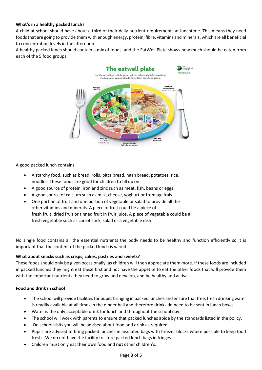# **What's in a healthy packed lunch?**

A child at school should have about a third of their daily nutrient requirements at lunchtime. This means they need foods that are going to provide them with enough energy, protein, fibre, vitamins and minerals, which are all beneficial to concentration levels in the afternoon.

A healthy packed lunch should contain a mix of foods, and the EatWell Plate shows how much should be eaten from each of the 5 food groups.



A good packed lunch contains:

- A starchy food, such as bread, rolls, pitta bread, naan bread, potatoes, rice, noodles. These foods are good for children to fill up on.
- A good source of protein, iron and zinc such as meat, fish, beans or eggs.
- A good source of calcium such as milk, cheese, yoghurt or fromage frais.
- One portion of fruit and one portion of vegetable or salad to provide all the other vitamins and minerals. A piece of fruit could be a piece of fresh fruit, dried fruit or tinned fruit in fruit juice. A piece of vegetable could be a fresh vegetable such as carrot stick, salad or a vegetable dish.

No single food contains all the essential nutrients the body needs to be healthy and function efficiently so it is important that the content of the packed lunch is varied.

#### **What about snacks such as crisps, cakes, pastries and sweets?**

These foods should only be given occasionally, as children will then appreciate them more. If these foods are included in packed lunches they might eat these first and not have the appetite to eat the other foods that will provide them with the important nutrients they need to grow and develop, and be healthy and active.

# **Food and drink in school**

- The school will provide facilities for pupils bringing in packed lunches and ensure that free, fresh drinking water is readily available at all times in the dinner hall and therefore drinks do need to be sent in lunch boxes.
- Water is the only acceptable drink for lunch and throughout the school day.
- The school will work with parents to ensure that packed lunches abide by the standards listed in the policy.
- On school visits you will be advised about food and drink as required.
- Pupils are advised to bring packed lunches in insulated bags with freezer blocks where possible to keep food fresh. We do not have the facility to store packed lunch bags in fridges.
- Children must only eat their own food and **not** other children's.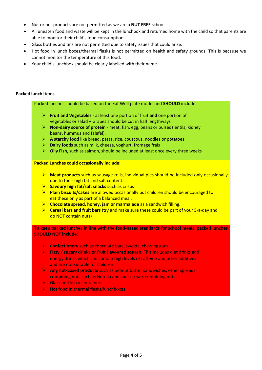- Nut or nut products are not permitted as we are a **NUT FREE** school.
- All uneaten food and waste will be kept in the lunchbox and returned home with the child so that parents are able to monitor their child's food consumption.
- Glass bottles and tins are not permitted due to safety issues that could arise.
- Hot food in lunch boxes/thermal flasks is not permitted on health and safety grounds. This is because we cannot monitor the temperature of this food.
- Your child's lunchbox should be clearly labelled with their name.

#### **Packed lunch items**

Packed lunches should be based on the Eat Well plate model and **SHOULD** include:

- ➢ **Fruit and Vegetables** at least one portion of fruit **and** one portion of vegetables or salad – Grapes should be cut in half lengthways
- ➢ **Non-dairy source of protein** meat, fish, egg, beans or pulses (lentils, kidney beans, hummus and falafel).
- ➢ **A starchy food** like bread, pasta, rice, couscous, noodles or potatoes
- ➢ **Dairy foods** such as milk, cheese, yoghurt, fromage frais
- ➢ **Oily Fish**, such as salmon, should be included at least once every three weeks

#### **Packed Lunches could occasionally include:**

- ➢ **Meat products** such as sausage rolls, individual pies should be included only occasionally due to their high fat and salt content.
- ➢ **Savoury high fat/salt snacks** such as crisps
- ➢ **Plain biscuits/cakes** are allowed occasionally but children should be encouraged to eat these only as part of a balanced meal.
- ➢ **Chocolate spread, honey, jam or marmalade** as a sandwich filling.
- ➢ **Cereal bars and fruit bars** (try and make sure these could be part of your 5-a-day and do NOT contain nuts)

**To keep packed lunches in line with the food-based standards for school meals, packed lunches SHOULD NOT include:**

- ➢ **Confectionery** such as chocolate bars, sweets, chewing gum
- ➢ **Fizzy / sugary drinks or fruit flavoured squash.** This includes diet drinks and energy drinks which can contain high levels of caffeine and other additives and are not suitable for children.
- ➢ **Any nut-based products** such as peanut butter sandwiches, other spreads containing nuts such as Nutella and snacks/bars containing nuts.
- ➢ Glass bottles or containers.
- ➢ **Hot food** in thermal flasks/lunchboxes